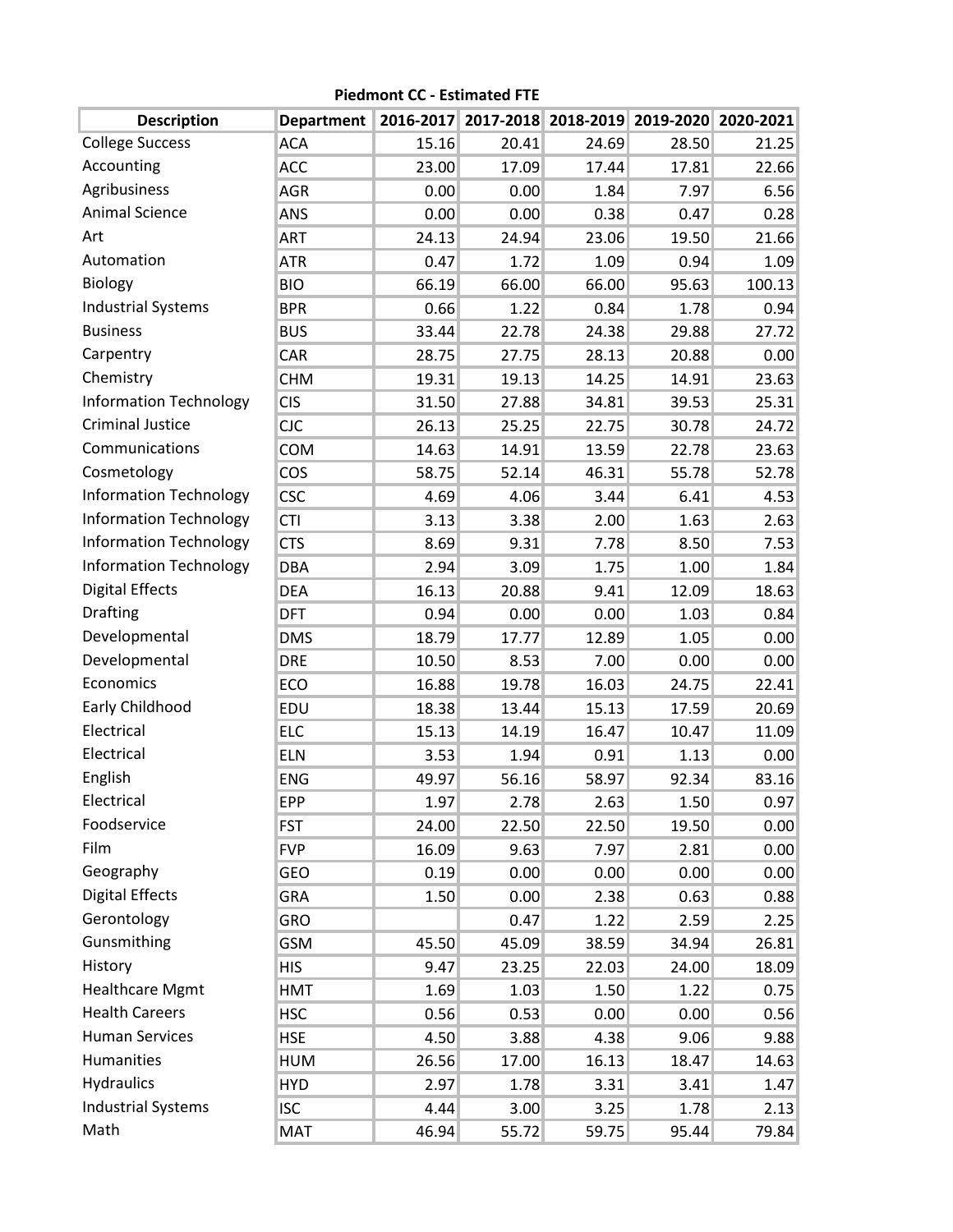| <b>Description</b>            | Department |       | 2016-2017 2017-2018 2018-2019 2019-2020 2020-2021 |       |       |        |
|-------------------------------|------------|-------|---------------------------------------------------|-------|-------|--------|
| <b>College Success</b>        | <b>ACA</b> | 15.16 | 20.41                                             | 24.69 | 28.50 | 21.25  |
| Accounting                    | <b>ACC</b> | 23.00 | 17.09                                             | 17.44 | 17.81 | 22.66  |
| Agribusiness                  | <b>AGR</b> | 0.00  | 0.00                                              | 1.84  | 7.97  | 6.56   |
| <b>Animal Science</b>         | ANS        | 0.00  | 0.00                                              | 0.38  | 0.47  | 0.28   |
| Art                           | ART        | 24.13 | 24.94                                             | 23.06 | 19.50 | 21.66  |
| Automation                    | <b>ATR</b> | 0.47  | 1.72                                              | 1.09  | 0.94  | 1.09   |
| <b>Biology</b>                | <b>BIO</b> | 66.19 | 66.00                                             | 66.00 | 95.63 | 100.13 |
| <b>Industrial Systems</b>     | <b>BPR</b> | 0.66  | 1.22                                              | 0.84  | 1.78  | 0.94   |
| <b>Business</b>               | <b>BUS</b> | 33.44 | 22.78                                             | 24.38 | 29.88 | 27.72  |
| Carpentry                     | CAR        | 28.75 | 27.75                                             | 28.13 | 20.88 | 0.00   |
| Chemistry                     | <b>CHM</b> | 19.31 | 19.13                                             | 14.25 | 14.91 | 23.63  |
| <b>Information Technology</b> | <b>CIS</b> | 31.50 | 27.88                                             | 34.81 | 39.53 | 25.31  |
| <b>Criminal Justice</b>       | <b>CJC</b> | 26.13 | 25.25                                             | 22.75 | 30.78 | 24.72  |
| Communications                | <b>COM</b> | 14.63 | 14.91                                             | 13.59 | 22.78 | 23.63  |
| Cosmetology                   | COS        | 58.75 | 52.14                                             | 46.31 | 55.78 | 52.78  |
| <b>Information Technology</b> | <b>CSC</b> | 4.69  | 4.06                                              | 3.44  | 6.41  | 4.53   |
| <b>Information Technology</b> | <b>CTI</b> | 3.13  | 3.38                                              | 2.00  | 1.63  | 2.63   |
| <b>Information Technology</b> | <b>CTS</b> | 8.69  | 9.31                                              | 7.78  | 8.50  | 7.53   |
| <b>Information Technology</b> | <b>DBA</b> | 2.94  | 3.09                                              | 1.75  | 1.00  | 1.84   |
| <b>Digital Effects</b>        | <b>DEA</b> | 16.13 | 20.88                                             | 9.41  | 12.09 | 18.63  |
| Drafting                      | <b>DFT</b> | 0.94  | 0.00                                              | 0.00  | 1.03  | 0.84   |
| Developmental                 | <b>DMS</b> | 18.79 | 17.77                                             | 12.89 | 1.05  | 0.00   |
| Developmental                 | <b>DRE</b> | 10.50 | 8.53                                              | 7.00  | 0.00  | 0.00   |
| Economics                     | ECO        | 16.88 | 19.78                                             | 16.03 | 24.75 | 22.41  |
| Early Childhood               | EDU        | 18.38 | 13.44                                             | 15.13 | 17.59 | 20.69  |
| Electrical                    | <b>ELC</b> | 15.13 | 14.19                                             | 16.47 | 10.47 | 11.09  |
| Electrical                    | <b>ELN</b> | 3.53  | 1.94                                              | 0.91  | 1.13  | 0.00   |
| English                       | <b>ENG</b> | 49.97 | 56.16                                             | 58.97 | 92.34 | 83.16  |
| Electrical                    | EPP        | 1.97  | 2.78                                              | 2.63  | 1.50  | 0.97   |
| Foodservice                   | <b>FST</b> | 24.00 | 22.50                                             | 22.50 | 19.50 | 0.00   |
| Film                          | <b>FVP</b> | 16.09 | 9.63                                              | 7.97  | 2.81  | 0.00   |
| Geography                     | GEO        | 0.19  | 0.00                                              | 0.00  | 0.00  | 0.00   |
| <b>Digital Effects</b>        | <b>GRA</b> | 1.50  | 0.00                                              | 2.38  | 0.63  | 0.88   |
| Gerontology                   | <b>GRO</b> |       | 0.47                                              | 1.22  | 2.59  | 2.25   |
| Gunsmithing                   | <b>GSM</b> | 45.50 | 45.09                                             | 38.59 | 34.94 | 26.81  |
| History                       | <b>HIS</b> | 9.47  | 23.25                                             | 22.03 | 24.00 | 18.09  |
| <b>Healthcare Mgmt</b>        | <b>HMT</b> | 1.69  | 1.03                                              | 1.50  | 1.22  | 0.75   |
| <b>Health Careers</b>         | <b>HSC</b> | 0.56  | 0.53                                              | 0.00  | 0.00  | 0.56   |
| <b>Human Services</b>         | <b>HSE</b> | 4.50  | 3.88                                              | 4.38  | 9.06  | 9.88   |
| Humanities                    | <b>HUM</b> | 26.56 | 17.00                                             | 16.13 | 18.47 | 14.63  |
| <b>Hydraulics</b>             | <b>HYD</b> | 2.97  | 1.78                                              | 3.31  | 3.41  | 1.47   |
| <b>Industrial Systems</b>     | <b>ISC</b> | 4.44  | 3.00                                              | 3.25  | 1.78  | 2.13   |
| Math                          | MAT        | 46.94 | 55.72                                             | 59.75 | 95.44 | 79.84  |

**Piedmont CC - Estimated FTE**